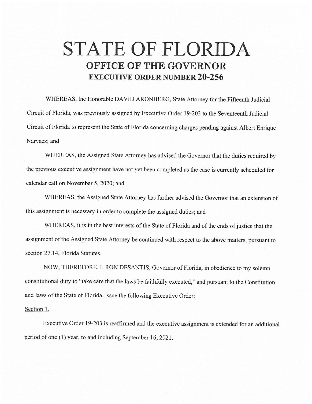## **STATE OF FLORIDA OFFICE OF THE GOVERNOR EXECUTIVE ORDER NUMBER 20-256**

WHEREAS, the Honorable DAVID ARONBERG, State Attorney for the Fifteenth Judicial Circuit of Florida, was previously assigned by Executive Order 19-203 to the Seventeenth Judicial Circuit of Florida to represent the State of Florida concerning charges pending against Albert Enrique Narvaez; and

WHEREAS, the Assigned State Attorney has advised the Governor that the duties required by the previous executive assignment have not yet been completed as the case is currently scheduled for calendar call on November 5, 2020; and

WHEREAS, the Assigned State Attorney has further advised the Governor that an extension of this assignment is necessary in order to complete the assigned duties; and

WHEREAS, it is in the best interests of the State of Florida and of the ends of justice that the assignment of the Assigned State Attorney be continued with respect to the above matters, pursuant to section 27.14, Florida Statutes.

NOW, THEREFORE, I, RON DESANTIS, Governor of Florida, in obedience to my solemn constitutional duty to "take care that the laws be faithfully executed," and pursuant to the Constitution and laws of the State of Florida, issue the following Executive Order:

## Section 1.

Executive Order 19-203 is reaffirmed and the executive assignment is extended for an additional period of one (1) year, to and including September 16, 2021.